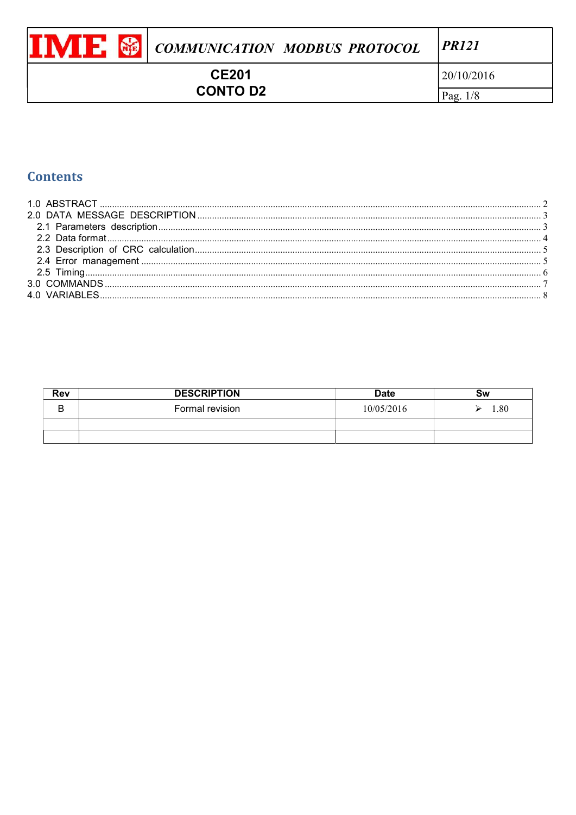|                                 | <b>VIE &amp; COMMUNICATION MODBUS PROTOCOL</b> | PR121      |
|---------------------------------|------------------------------------------------|------------|
| <b>CE201</b><br><b>CONTO D2</b> |                                                | 20/10/2016 |
|                                 |                                                | Pag. $1/8$ |

# **Contents**

| Rev | <b>DESCRIPTION</b> | <b>Date</b> | Sw   |
|-----|--------------------|-------------|------|
| B   | Formal revision    | 10/05/2016  | 1.80 |
|     |                    |             |      |
|     |                    |             |      |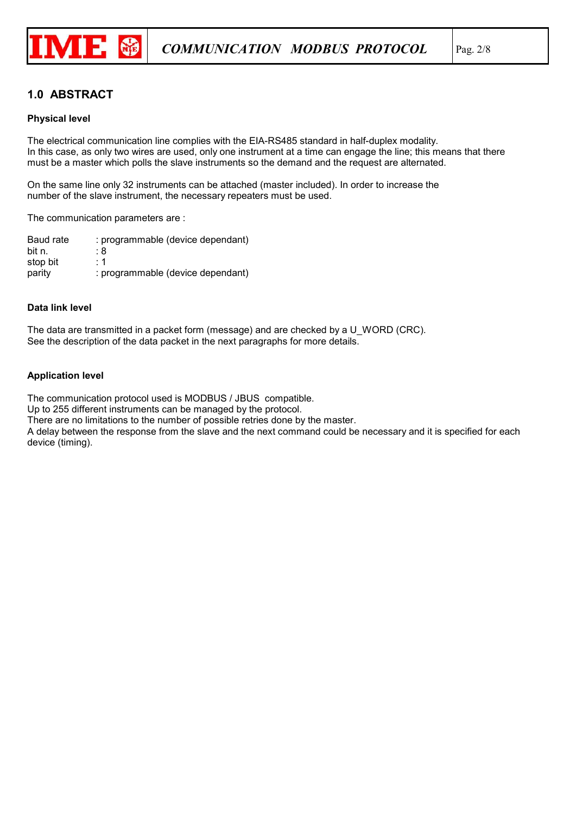

# 1.0 ABSTRACT

#### Physical level

The electrical communication line complies with the EIA-RS485 standard in half-duplex modality. In this case, as only two wires are used, only one instrument at a time can engage the line; this means that there must be a master which polls the slave instruments so the demand and the request are alternated.

On the same line only 32 instruments can be attached (master included). In order to increase the number of the slave instrument, the necessary repeaters must be used.

The communication parameters are :

Baud rate : programmable (device dependant) bit n.  $: 8$ stop bit : 1 parity : programmable (device dependant)

#### Data link level

The data are transmitted in a packet form (message) and are checked by a U\_WORD (CRC). See the description of the data packet in the next paragraphs for more details.

#### Application level

The communication protocol used is MODBUS / JBUS compatible.

Up to 255 different instruments can be managed by the protocol.

There are no limitations to the number of possible retries done by the master.

A delay between the response from the slave and the next command could be necessary and it is specified for each device (timing).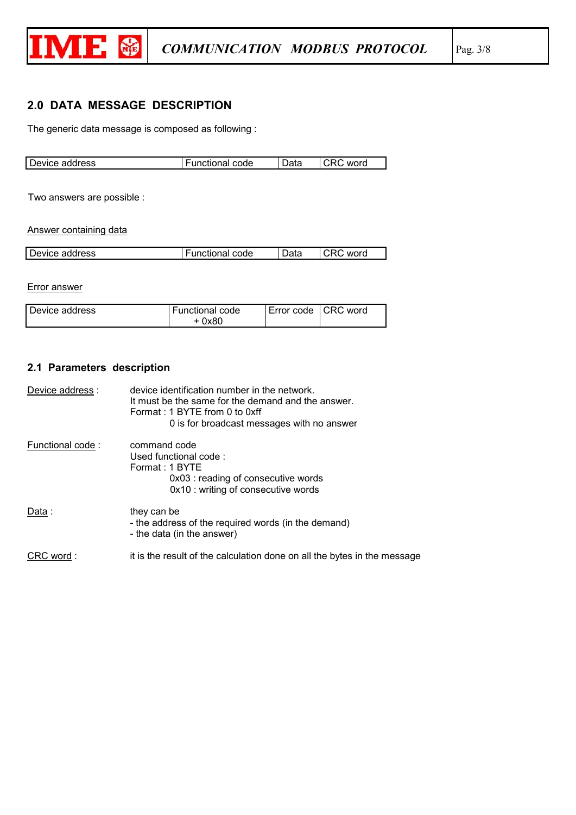

# 2.0 DATA MESSAGE DESCRIPTION

The generic data message is composed as following :

| Device address | <b>Functional code</b> | Data | word<br>URU 1 |
|----------------|------------------------|------|---------------|

Two answers are possible :

Answer containing data

| Device address | unctional code | Data | word |
|----------------|----------------|------|------|
|                |                |      |      |

Error answer

| l Device address | <b>Functional code</b> | Error code   CRC word |  |
|------------------|------------------------|-----------------------|--|
|                  | + 0x80                 |                       |  |

## 2.1 Parameters description

| Device address : | device identification number in the network.<br>It must be the same for the demand and the answer.<br>Format: 1 BYTE from 0 to 0xff<br>0 is for broadcast messages with no answer |
|------------------|-----------------------------------------------------------------------------------------------------------------------------------------------------------------------------------|
| Functional code: | command code<br>Used functional code:<br>Format: 1 BYTE<br>0x03 : reading of consecutive words<br>0x10 : writing of consecutive words                                             |
| Data :           | they can be<br>- the address of the required words (in the demand)<br>- the data (in the answer)                                                                                  |
| CRC word:        | it is the result of the calculation done on all the bytes in the message                                                                                                          |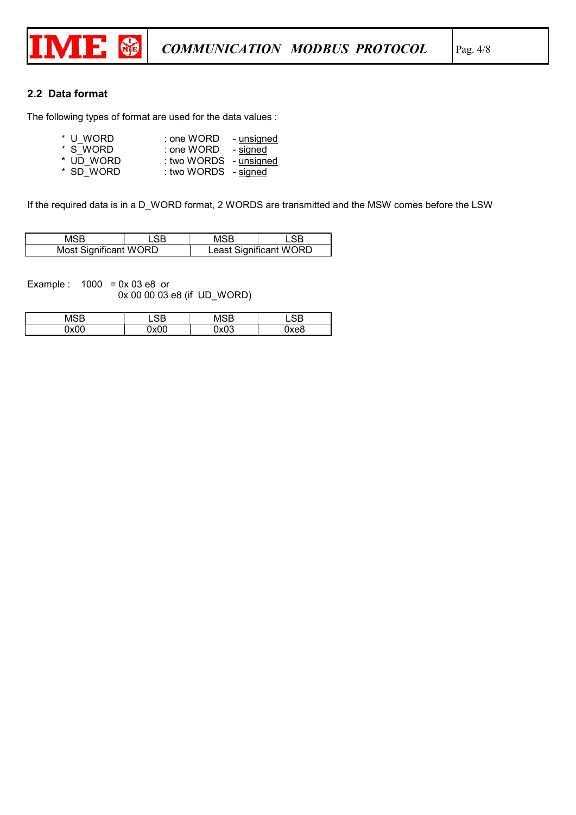

## 2.2 Data format

The following types of format are used for the data values :

| * U WORD  | ∶one WORD ∶            | - unsigned |
|-----------|------------------------|------------|
| * S WORD  | : one WORD - signed    |            |
| * UD WORD | : two WORDS - unsigned |            |

\* SD\_WORD : two WORDS - signed

If the required data is in a D\_WORD format, 2 WORDS are transmitted and the MSW comes before the LSW

|                       |  | MSB |                        |
|-----------------------|--|-----|------------------------|
| Most Significant WORD |  |     | Least Significant WORD |

Example :  $1000 = 0x 03 e8$  or 0x 00 00 03 e8 (if UD\_WORD)

| MSR  |      | いくい         |      |
|------|------|-------------|------|
| ∩x∩∩ | 0x00 | በ×በ3<br>ט∧ע | )xe8 |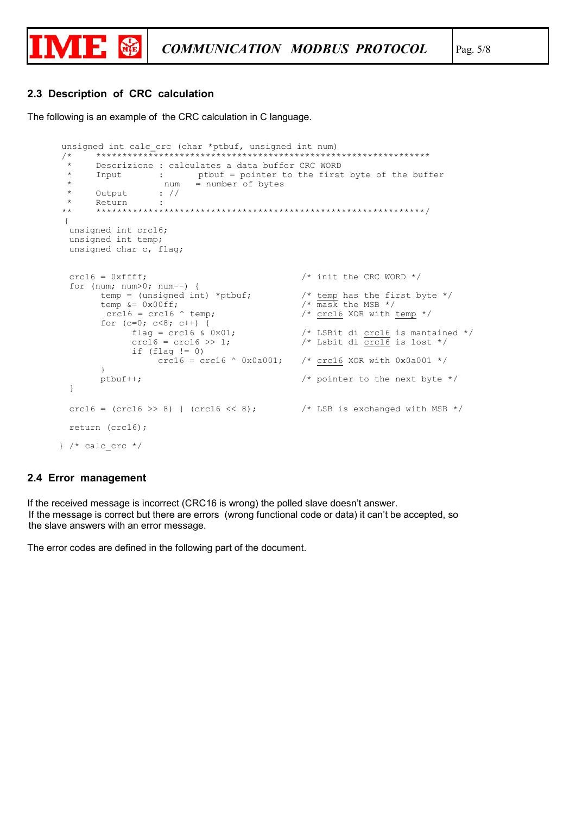

### 2.3 Description of CRC calculation

The following is an example of the CRC calculation in C language.

```
unsigned int calc crc (char *ptbuf, unsigned int num)
         *********************
                                                                     **********************
/ *
 \starDescrizione : calculates a data buffer CRC WORD
        Input : ptbuf = pointer to the first byte of the buffer<br>num = number of bytes
 \star\starOutput : //<br>Return :
 \star\star+ +\{unsigned int crc16;
  unsigned int temp;
  unsigned char c, flag;
  crc16 = 0xffff;/* init the CRC WORD */for (num; num>0; num--) {
          temp = (unsigned int) *ptbuf;<br>
\begin{array}{ccc}\n & \text{#} & \text{#} \\
 \text{#} & \text{#} & \text{#} \\
 \text{#} & \text{#} & \text{#} \\
 \text{#} & \text{#} & \text{#} \\
 \text{#} & \text{#} & \text{#} \\
 \text{#} & \text{#} & \text{#} \\
 \text{#} & \text{#} & \text{#} \\
 \text{#} & \text{#} & \text{#} \\
 \text{#} & \text{#} & \text{#} \\
 \text{#} & \text{#} & \text{#} \\
 \text{#} &for (c=0; c<8; c++) {
                                                        \frac{7}{100} LSBit di crcl6 is mantained */
                  flag = crc16 & 0x01;
                   crc16 = crc16 \gg 1;/* Lsbit di crc16 is lost */if (flag != 0)crc16 = crc16 \land 0x0a001;/* crc16 XOR with 0x0a001 */
          ptbuf++;
                                                               /* pointer to the next byte */\rightarrowcrc16 = (\text{crc16} > 8) | (\text{crc16} < 8); /* LSB is exchanged with MSB */
  return (crc16);
} /* calc crc */
```
### 2.4 Error management

If the received message is incorrect (CRC16 is wrong) the polled slave doesn't answer. If the message is correct but there are errors (wrong functional code or data) it can't be accepted, so the slave answers with an error message.

The error codes are defined in the following part of the document.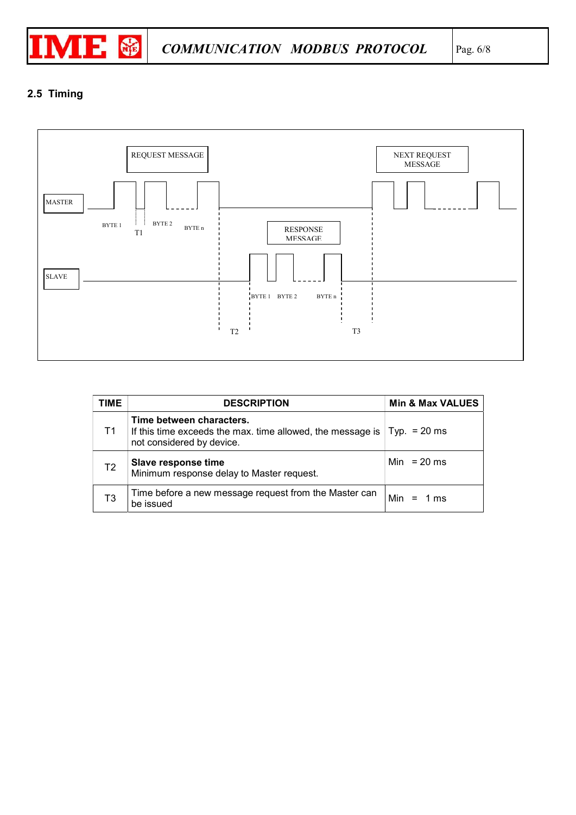

# 2.5 Timing



| TIME           | <b>DESCRIPTION</b>                                                                                                                   | <b>Min &amp; Max VALUES</b> |
|----------------|--------------------------------------------------------------------------------------------------------------------------------------|-----------------------------|
| T1             | Time between characters.<br>If this time exceeds the max. time allowed, the message is $ $ Typ. = 20 ms<br>not considered by device. |                             |
| T <sub>2</sub> | Slave response time<br>Minimum response delay to Master request.                                                                     | Min = $20$ ms               |
| T3             | Time before a new message request from the Master can<br>be issued                                                                   | Min<br>$= 1$ ms             |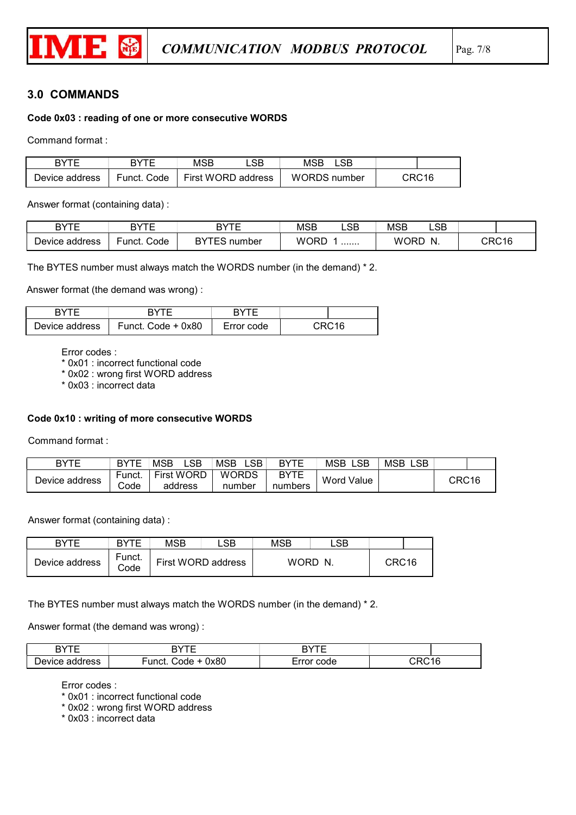

## 3.0 COMMANDS

## Code 0x03 : reading of one or more consecutive WORDS

Command format :

| BYTE           | RYTF        | MSB | SB                 | MSB                 |  |       |
|----------------|-------------|-----|--------------------|---------------------|--|-------|
| Device address | Funct. Code |     | First WORD address | <b>WORDS</b> number |  | CRC16 |

Answer format (containing data) :

| <b>DVTF</b><br>۰ ت | DVTF           | <b>DVTF</b><br>D | <b>MSB</b>  | _SB_ | <b>MSB</b>  | LSB      |       |
|--------------------|----------------|------------------|-------------|------|-------------|----------|-------|
| Device<br>address  | Code<br>∙unct. | number<br>ت و    | <b>WORD</b> | .    | <b>WORD</b> | N<br>. . | CRC16 |

The BYTES number must always match the WORDS number (in the demand) \* 2.

Answer format (the demand was wrong) :

| DVTC           | RVTE               | ⊐ד∨ג       |       |
|----------------|--------------------|------------|-------|
| Device address | Funct. Code + 0x80 | Error code | NDM16 |

Error codes :

\* 0x01 : incorrect functional code

\* 0x02 : wrong first WORD address

\* 0x03 : incorrect data

#### Code 0x10 : writing of more consecutive WORDS

Command format :

| BYTE           | <b>BYTE</b> | _SB.<br><b>MSB</b> | _SB .<br><b>MSB</b> | <b>RYTE</b> | _SB<br><b>MSB</b> | <b>MSB</b><br>SВ |                   |
|----------------|-------------|--------------------|---------------------|-------------|-------------------|------------------|-------------------|
| Device address | Funct.      | <b>First WORD</b>  | <b>WORDS</b>        | <b>BYTE</b> | Word Value        |                  | CRC <sub>16</sub> |
|                | Code        | address            | number              | numbers     |                   |                  |                   |

Answer format (containing data) :

| <b>RYTE</b>    | <b>RYTE</b>    | <b>MSB</b> | .SB                | <b>MSB</b> | _SB |                   |  |
|----------------|----------------|------------|--------------------|------------|-----|-------------------|--|
| Device address | Funct.<br>Code |            | First WORD address | WORD.      | N.  | CRC <sub>16</sub> |  |

The BYTES number must always match the WORDS number (in the demand) \* 2.

Answer format (the demand was wrong) :

| $\mathbf{L}$    | חד/ת                             | $\mathbf{L}$ |                                |
|-----------------|----------------------------------|--------------|--------------------------------|
| Jevice<br>dress | 0x80<br>$\cdots$<br>ode<br>'nci. | code         | $\overline{\phantom{a}}$<br>16 |

Error codes :

\* 0x01 : incorrect functional code

\* 0x02 : wrong first WORD address

\* 0x03 : incorrect data